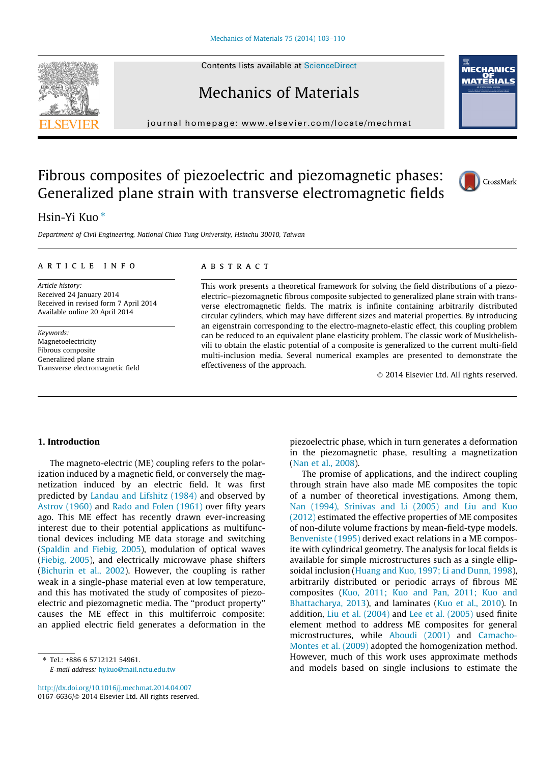Contents lists available at [ScienceDirect](http://www.sciencedirect.com/science/journal/01676636)

# Mechanics of Materials

journal homepage: [www.elsevier.com/locate/mechmat](http://www.elsevier.com/locate/mechmat)

# Fibrous composites of piezoelectric and piezomagnetic phases: Generalized plane strain with transverse electromagnetic fields

# Hsin-Yi Kuo<sup>\*</sup>

Department of Civil Engineering, National Chiao Tung University, Hsinchu 30010, Taiwan

#### article info

Article history: Received 24 January 2014 Received in revised form 7 April 2014 Available online 20 April 2014

Keywords: Magnetoelectricity Fibrous composite Generalized plane strain Transverse electromagnetic field

## ABSTRACT

This work presents a theoretical framework for solving the field distributions of a piezoelectric–piezomagnetic fibrous composite subjected to generalized plane strain with transverse electromagnetic fields. The matrix is infinite containing arbitrarily distributed circular cylinders, which may have different sizes and material properties. By introducing an eigenstrain corresponding to the electro-magneto-elastic effect, this coupling problem can be reduced to an equivalent plane elasticity problem. The classic work of Muskhelishvili to obtain the elastic potential of a composite is generalized to the current multi-field multi-inclusion media. Several numerical examples are presented to demonstrate the effectiveness of the approach.

- 2014 Elsevier Ltd. All rights reserved.

#### 1. Introduction

The magneto-electric (ME) coupling refers to the polarization induced by a magnetic field, or conversely the magnetization induced by an electric field. It was first predicted by [Landau and Lifshitz \(1984\)](#page-7-0) and observed by [Astrov \(1960\)](#page-7-0) and [Rado and Folen \(1961\)](#page-7-0) over fifty years ago. This ME effect has recently drawn ever-increasing interest due to their potential applications as multifunctional devices including ME data storage and switching ([Spaldin and Fiebig, 2005](#page-7-0)), modulation of optical waves ([Fiebig, 2005](#page-7-0)), and electrically microwave phase shifters ([Bichurin et al., 2002\)](#page-7-0). However, the coupling is rather weak in a single-phase material even at low temperature, and this has motivated the study of composites of piezoelectric and piezomagnetic media. The ''product property'' causes the ME effect in this multiferroic composite: an applied electric field generates a deformation in the

⇑ Tel.: +886 6 5712121 54961. E-mail address: [hykuo@mail.nctu.edu.tw](mailto:hykuo@mail.nctu.edu.tw)

<http://dx.doi.org/10.1016/j.mechmat.2014.04.007> 0167-6636/© 2014 Elsevier Ltd. All rights reserved.

piezoelectric phase, which in turn generates a deformation in the piezomagnetic phase, resulting a magnetization [\(Nan et al., 2008\)](#page-7-0).

The promise of applications, and the indirect coupling through strain have also made ME composites the topic of a number of theoretical investigations. Among them, [Nan \(1994\), Srinivas and Li \(2005\) and Liu and Kuo](#page-7-0) [\(2012\)](#page-7-0) estimated the effective properties of ME composites of non-dilute volume fractions by mean-field-type models. [Benveniste \(1995\)](#page-7-0) derived exact relations in a ME composite with cylindrical geometry. The analysis for local fields is available for simple microstructures such as a single ellipsoidal inclusion [\(Huang and Kuo, 1997; Li and Dunn, 1998](#page-7-0)), arbitrarily distributed or periodic arrays of fibrous ME composites ([Kuo, 2011; Kuo and Pan, 2011; Kuo and](#page-7-0) [Bhattacharya, 2013\)](#page-7-0), and laminates [\(Kuo et al., 2010](#page-7-0)). In addition, [Liu et al. \(2004\)](#page-7-0) and [Lee et al. \(2005\)](#page-7-0) used finite element method to address ME composites for general microstructures, while [Aboudi \(2001\)](#page-7-0) and [Camacho-](#page-7-0)[Montes et al. \(2009\)](#page-7-0) adopted the homogenization method. However, much of this work uses approximate methods and models based on single inclusions to estimate the





**MECHANICS** OF<br>MATERIALS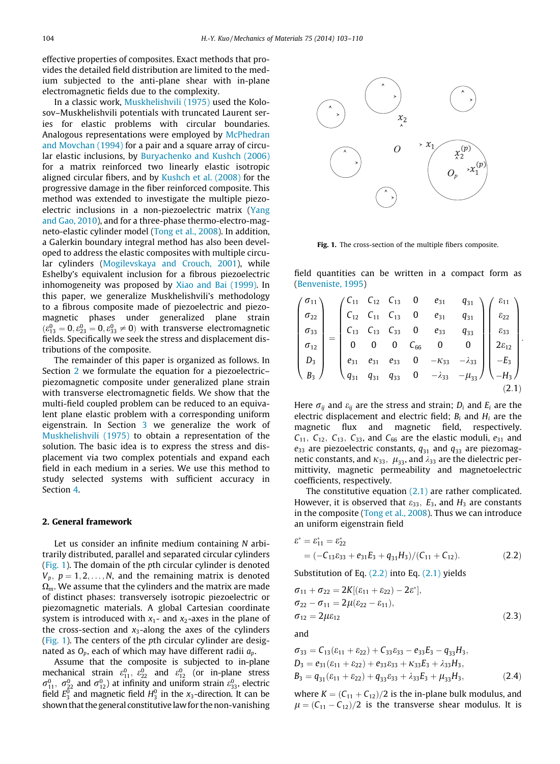<span id="page-1-0"></span>effective properties of composites. Exact methods that provides the detailed field distribution are limited to the medium subjected to the anti-plane shear with in-plane electromagnetic fields due to the complexity.

In a classic work, [Muskhelishvili \(1975\)](#page-7-0) used the Kolosov–Muskhelishvili potentials with truncated Laurent series for elastic problems with circular boundaries. Analogous representations were employed by [McPhedran](#page-7-0) [and Movchan \(1994\)](#page-7-0) for a pair and a square array of circular elastic inclusions, by [Buryachenko and Kushch \(2006\)](#page-7-0) for a matrix reinforced two linearly elastic isotropic aligned circular fibers, and by [Kushch et al. \(2008\)](#page-7-0) for the progressive damage in the fiber reinforced composite. This method was extended to investigate the multiple piezoelectric inclusions in a non-piezoelectric matrix ([Yang](#page-7-0) [and Gao, 2010](#page-7-0)), and for a three-phase thermo-electro-magneto-elastic cylinder model ([Tong et al., 2008\)](#page-7-0). In addition, a Galerkin boundary integral method has also been developed to address the elastic composites with multiple circular cylinders [\(Mogilevskaya and Crouch, 2001\)](#page-7-0), while Eshelby's equivalent inclusion for a fibrous piezoelectric inhomogeneity was proposed by [Xiao and Bai \(1999\)](#page-7-0). In this paper, we generalize Muskhelishvili's methodology to a fibrous composite made of piezoelectric and piezomagnetic phases under generalized plane strain  $(\epsilon_{13}^0 = 0, \epsilon_{23}^0 = 0, \epsilon_{33}^0 \neq 0)$  with transverse electromagnetic fields. Specifically we seek the stress and displacement distributions of the composite.

The remainder of this paper is organized as follows. In Section 2 we formulate the equation for a piezoelectric– piezomagnetic composite under generalized plane strain with transverse electromagnetic fields. We show that the multi-field coupled problem can be reduced to an equivalent plane elastic problem with a corresponding uniform eigenstrain. In Section [3](#page-2-0) we generalize the work of [Muskhelishvili \(1975\)](#page-7-0) to obtain a representation of the solution. The basic idea is to express the stress and displacement via two complex potentials and expand each field in each medium in a series. We use this method to study selected systems with sufficient accuracy in Section [4](#page-4-0).

#### 2. General framework

Let us consider an infinite medium containing N arbitrarily distributed, parallel and separated circular cylinders (Fig. 1). The domain of the pth circular cylinder is denoted  $V_p$ ,  $p = 1, 2, \ldots, N$ , and the remaining matrix is denoted  $\Omega_m$ . We assume that the cylinders and the matrix are made of distinct phases: transversely isotropic piezoelectric or piezomagnetic materials. A global Cartesian coordinate system is introduced with  $x_1$ - and  $x_2$ -axes in the plane of the cross-section and  $x_3$ -along the axes of the cylinders (Fig. 1). The centers of the pth circular cylinder are designated as  $O_p$ , each of which may have different radii  $a_p$ .

Assume that the composite is subjected to in-plane mechanical strain  $\varepsilon_{11}^0$ ,  $\varepsilon_{22}^0$  and  $\varepsilon_{12}^0$  (or in-plane stress  $\sigma_{11}^0$ ,  $\sigma_{22}^0$  and  $\sigma_{12}^0$ ) at infinity and uniform strain  $\varepsilon_{33}^0$ , electric field  $E_3^0$  and magnetic field  $H_3^0$  in the  $x_3$ -direction. It can be shown that the general constitutive law for the non-vanishing



Fig. 1. The cross-section of the multiple fibers composite.

field quantities can be written in a compact form as [\(Benveniste, 1995](#page-7-0))

$$
\begin{pmatrix}\n\sigma_{11} \\
\sigma_{22} \\
\sigma_{33} \\
\sigma_{12} \\
D_3 \\
B_3\n\end{pmatrix} = \begin{pmatrix}\nC_{11} & C_{12} & C_{13} & 0 & e_{31} & q_{31} \\
C_{12} & C_{11} & C_{13} & 0 & e_{31} & q_{31} \\
C_{13} & C_{13} & C_{33} & 0 & e_{33} & q_{33} \\
0 & 0 & 0 & C_{66} & 0 & 0 \\
e_{31} & e_{31} & e_{33} & 0 & -k_{33} & -\lambda_{33} \\
q_{31} & q_{31} & q_{33} & 0 & -\lambda_{33} & -\mu_{33}\n\end{pmatrix}\n\begin{pmatrix}\n\varepsilon_{11} \\
\varepsilon_{22} \\
\varepsilon_{33} \\
\varepsilon_{41} \\
-\varepsilon_{5} \\
-\varepsilon_{3} \\
-\varepsilon_{43}\n\end{pmatrix}.
$$
\n(2.1)

Here  $\sigma_{ij}$  and  $\varepsilon_{ij}$  are the stress and strain;  $D_i$  and  $E_i$  are the electric displacement and electric field;  $B_i$  and  $H_i$  are the magnetic flux and magnetic field, respectively.  $C_{11}$ ,  $C_{12}$ ,  $C_{13}$ ,  $C_{33}$ , and  $C_{66}$  are the elastic moduli,  $e_{31}$  and  $e_{33}$  are piezoelectric constants,  $q_{31}$  and  $q_{33}$  are piezomagnetic constants, and  $\kappa_{33}$ ,  $\mu_{33}$ , and  $\lambda_{33}$  are the dielectric permittivity, magnetic permeability and magnetoelectric coefficients, respectively.

The constitutive equation  $(2.1)$  are rather complicated. However, it is observed that  $\varepsilon_{33}$ ,  $E_3$ , and  $H_3$  are constants in the composite [\(Tong et al., 2008\)](#page-7-0). Thus we can introduce an uniform eigenstrain field

$$
\varepsilon^* = \varepsilon_{11}^* = \varepsilon_{22}^*
$$
  
=  $(-\mathcal{C}_{13}\varepsilon_{33} + e_{31}\mathcal{E}_3 + q_{31}\mathcal{H}_3)/(\mathcal{C}_{11} + \mathcal{C}_{12}).$  (2.2)

Substitution of Eq. (2.2) into Eq. (2.1) yields

$$
\sigma_{11} + \sigma_{22} = 2K[(\varepsilon_{11} + \varepsilon_{22}) - 2\varepsilon^*],\n\sigma_{22} - \sigma_{11} = 2\mu(\varepsilon_{22} - \varepsilon_{11}),\n\sigma_{12} = 2\mu\varepsilon_{12}
$$
\n(2.3)

and

$$
\sigma_{33} = C_{13}(\varepsilon_{11} + \varepsilon_{22}) + C_{33}\varepsilon_{33} - e_{33}\varepsilon_{3} - q_{33}\varepsilon_{3}, \nD_3 = e_{31}(\varepsilon_{11} + \varepsilon_{22}) + e_{33}\varepsilon_{33} + \kappa_{33}\varepsilon_{3} + \lambda_{33}\varepsilon_{3}, \nB_3 = q_{31}(\varepsilon_{11} + \varepsilon_{22}) + q_{33}\varepsilon_{33} + \lambda_{33}\varepsilon_{3} + \mu_{33}\varepsilon_{3},
$$
\n(2.4)

where  $K = (C_{11} + C_{12})/2$  is the in-plane bulk modulus, and  $\mu = (C_{11} - C_{12})/2$  is the transverse shear modulus. It is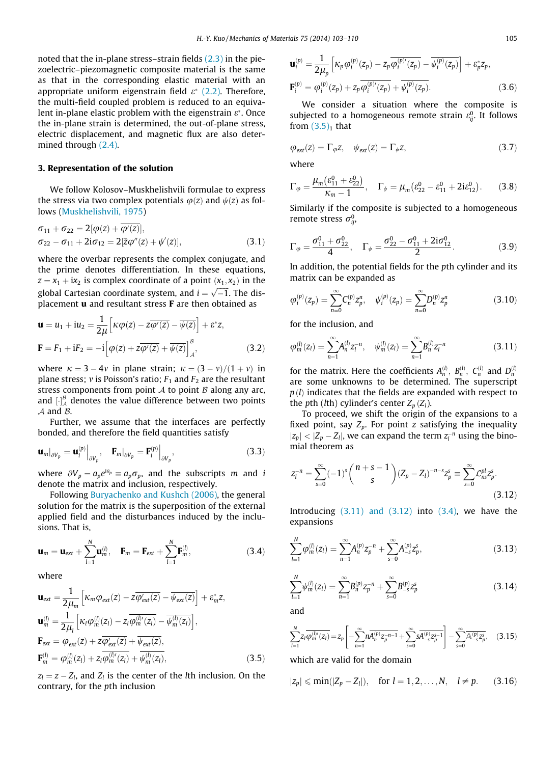<span id="page-2-0"></span>noted that the in-plane stress–strain fields [\(2.3\)](#page-1-0) in the piezoelectric–piezomagnetic composite material is the same as that in the corresponding elastic material with an appropriate uniform eigenstrain field  $\varepsilon^*$  [\(2.2\)](#page-1-0). Therefore, the multi-field coupled problem is reduced to an equivalent in-plane elastic problem with the eigenstrain  $\varepsilon^*$ . Once the in-plane strain is determined, the out-of-plane stress, electric displacement, and magnetic flux are also determined through [\(2.4\).](#page-1-0)

## 3. Representation of the solution

We follow Kolosov–Muskhelishvili formulae to express the stress via two complex potentials  $\varphi(z)$  and  $\psi(z)$  as follows [\(Muskhelishvili, 1975](#page-7-0))

$$
\sigma_{11} + \sigma_{22} = 2[\varphi(z) + \overline{\varphi'(z)}],
$$
  
\n
$$
\sigma_{22} - \sigma_{11} + 2i\sigma_{12} = 2[\overline{z}\varphi''(z) + \psi'(z)],
$$
\n(3.1)

where the overbar represents the complex conjugate, and the prime denotes differentiation. In these equations,  $z = x_1 + ix_2$  is complex coordinate of a point  $(x_1, x_2)$  in the global Cartesian coordinate system, and  $i = \sqrt{-1}$ . The displacement u and resultant stress F are then obtained as

$$
\mathbf{u} = u_1 + iu_2 = \frac{1}{2\mu} \left[ \kappa \varphi(z) - z \overline{\varphi'(z)} - \overline{\psi(z)} \right] + \varepsilon^* z,
$$
  

$$
\mathbf{F} = F_1 + iF_2 = -i \left[ \varphi(z) + z \overline{\varphi'(z)} + \overline{\psi(z)} \right]_A^B,
$$
(3.2)

where  $\kappa = 3 - 4v$  in plane strain;  $\kappa = (3 - v)/(1 + v)$  in plane stress; v is Poisson's ratio;  $F_1$  and  $F_2$  are the resultant stress components from point  $A$  to point  $B$  along any arc, and  $\left[\cdot\right]_{\mathcal{A}}^{\mathcal{B}}$  denotes the value difference between two points  $A$  and  $B$ .

Further, we assume that the interfaces are perfectly bonded, and therefore the field quantities satisfy

$$
\mathbf{u}_{m}|_{\partial V_{p}} = \mathbf{u}_{i}^{(p)}\Big|_{\partial V_{p}}, \quad \mathbf{F}_{m}|_{\partial V_{p}} = \mathbf{F}_{i}^{(p)}\Big|_{\partial V_{p}}, \tag{3.3}
$$

where  $\partial V_p = a_p e^{i\theta_p} \equiv a_p \sigma_p$ , and the subscripts m and i denote the matrix and inclusion, respectively.

Following [Buryachenko and Kushch \(2006\)](#page-7-0), the general solution for the matrix is the superposition of the external applied field and the disturbances induced by the inclusions. That is,

$$
\mathbf{u}_m = \mathbf{u}_{ext} + \sum_{l=1}^{N} \mathbf{u}_m^{(l)}, \quad \mathbf{F}_m = \mathbf{F}_{ext} + \sum_{l=1}^{N} \mathbf{F}_m^{(l)}, \tag{3.4}
$$

where

$$
\mathbf{u}_{ext} = \frac{1}{2\mu_m} \left[ \kappa_m \varphi_{ext}(z) - z \overline{\varphi'_{ext}(z)} - \overline{\psi_{ext}(z)} \right] + \varepsilon_m^* z,
$$
  
\n
$$
\mathbf{u}_m^{(l)} = \frac{1}{2\mu_l} \left[ \kappa_l \varphi_m^{(l)}(z_l) - z_l \overline{\varphi_m^{(l)'}(z_l)} - \overline{\psi_m^{(l)}(z_l)} \right],
$$
  
\n
$$
\mathbf{F}_{ext} = \varphi_{ext}(z) + z \overline{\varphi'_{ext}(z)} + \overline{\psi_{ext}(z)},
$$
  
\n
$$
\mathbf{F}_m^{(l)} = \varphi_m^{(l)}(z_l) + z_l \overline{\varphi_m^{(l)'}(z_l)} + \overline{\psi_m^{(l)}(z_l)},
$$
  
\n(3.5)

 $z_l = z - Z_l$ , and  $Z_l$  is the center of the *l*th inclusion. On the contrary, for the pth inclusion

$$
\mathbf{u}_{i}^{(p)} = \frac{1}{2\mu_{p}} \left[ \kappa_{p} \varphi_{i}^{(p)}(z_{p}) - z_{p} \overline{\varphi_{i}^{(p)'}(z_{p})} - \overline{\psi_{i}^{(p)}(z_{p})} \right] + \varepsilon_{p}^{*} z_{p},
$$
  

$$
\mathbf{F}_{i}^{(p)} = \varphi_{i}^{(p)}(z_{p}) + z_{p} \overline{\varphi_{i}^{(p)'}(z_{p})} + \overline{\psi_{i}^{(p)}(z_{p})}.
$$
 (3.6)

We consider a situation where the composite is subjected to a homogeneous remote strain  $\varepsilon_{ij}^0$ . It follows from  $(3.5)<sub>1</sub>$  that

$$
\varphi_{\text{ext}}(z) = \Gamma_{\varphi} z, \quad \psi_{\text{ext}}(z) = \Gamma_{\psi} z,
$$
\n(3.7)

where

$$
\Gamma_{\varphi} = \frac{\mu_m (\varepsilon_{11}^0 + \varepsilon_{22}^0)}{\kappa_m - 1}, \quad \Gamma_{\psi} = \mu_m (\varepsilon_{22}^0 - \varepsilon_{11}^0 + 2i\varepsilon_{12}^0). \tag{3.8}
$$

Similarly if the composite is subjected to a homogeneous remote stress  $\sigma_{ij}^0$ ,

$$
\Gamma_{\varphi} = \frac{\sigma_{11}^{0} + \sigma_{22}^{0}}{4}, \quad \Gamma_{\psi} = \frac{\sigma_{22}^{0} - \sigma_{11}^{0} + 2i\sigma_{12}^{0}}{2}.
$$
 (3.9)

In addition, the potential fields for the pth cylinder and its matrix can be expanded as

$$
\varphi_i^{(p)}(z_p) = \sum_{n=0}^{\infty} C_n^{(p)} z_p^n, \quad \psi_i^{(p)}(z_p) = \sum_{n=0}^{\infty} D_n^{(p)} z_p^n \tag{3.10}
$$

for the inclusion, and

$$
\varphi_m^{(l)}(z_l) = \sum_{n=1}^{\infty} A_n^{(l)} z_l^{-n}, \quad \psi_m^{(l)}(z_l) = \sum_{n=1}^{\infty} B_n^{(l)} z_l^{-n}
$$
\n(3.11)

for the matrix. Here the coefficients  $A_n^{(l)}$ ,  $B_n^{(l)}$ ,  $C_n^{(l)}$  and  $D_n^{(l)}$ are some unknowns to be determined. The superscript  $p(l)$  indicates that the fields are expanded with respect to the pth (*lth*) cylinder's center  $Z_p(Z_l)$ .

To proceed, we shift the origin of the expansions to a fixed point, say  $Z_p$ . For point z satisfying the inequality  $|z_p| < |Z_p - Z_l|$ , we can expand the term  $z_l^{-n}$  using the binomial theorem as

$$
z_{l}^{-n} = \sum_{s=0}^{\infty} (-1)^{s} {n+s-1 \choose s} (Z_{p} - Z_{l})^{-n-s} z_{p}^{s} \equiv \sum_{s=0}^{\infty} \mathcal{L}_{ns}^{pl} z_{p}^{s}.
$$
\n(3.12)

Introducing  $(3.11)$  and  $(3.12)$  into  $(3.4)$ , we have the expansions

$$
\sum_{l=1}^{N} \varphi_m^{(l)}(z_l) = \sum_{n=1}^{\infty} A_n^{(p)} z_p^{-n} + \sum_{s=0}^{\infty} A_{-s}^{(p)} z_p^s,
$$
\n(3.13)

$$
\sum_{l=1}^{N} \psi_m^{(l)}(z_l) = \sum_{n=1}^{\infty} B_n^{(p)} z_p^{-n} + \sum_{s=0}^{\infty} B_{-s}^{(p)} z_p^s
$$
\n(3.14)

and

$$
\sum_{l=1}^{N} z_l \overline{\varphi_m^{(l)\'}(z_l)} = z_p \left[ -\sum_{n=1}^{\infty} n \overline{A_n^{(p)} z_p^{-n-1}} + \sum_{s=0}^{\infty} s \overline{A_{-s}^{(p)} z_p^{s-1}} \right] - \sum_{s=0}^{\infty} \overline{A_{-s}^{(p)} z_p^s}, \quad (3.15)
$$

which are valid for the domain

$$
|z_p| \leqslant \min(|Z_p - Z_l|), \quad \text{for } l = 1, 2, ..., N, \quad l \neq p. \tag{3.16}
$$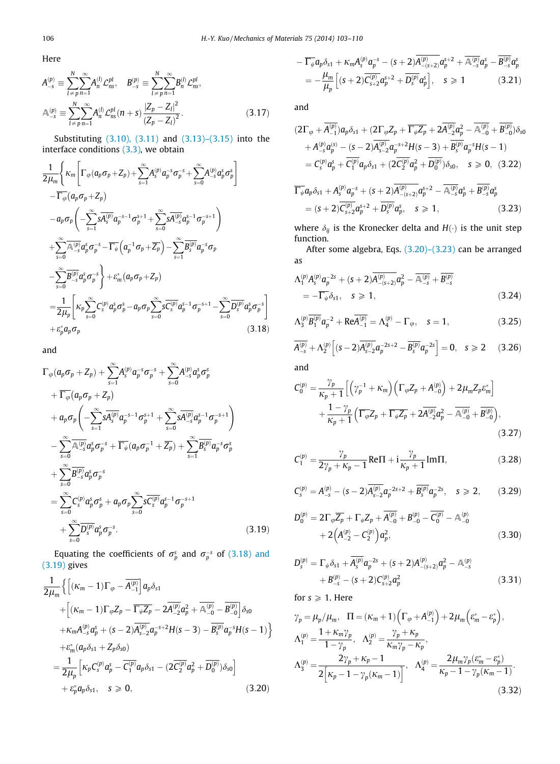<span id="page-3-0"></span>Here

$$
A_{-s}^{(p)} \equiv \sum_{l \neq p}^{N} \sum_{n=1}^{\infty} A_{n}^{(l)} \mathcal{L}_{ns}^{pl}, \quad B_{-s}^{(p)} \equiv \sum_{l \neq p}^{N} \sum_{n=1}^{\infty} B_{n}^{(l)} \mathcal{L}_{ns}^{pl},
$$

$$
\mathbb{A}_{-s}^{(p)} \equiv \sum_{l \neq p}^{N} \sum_{n=1}^{\infty} A_{n}^{(l)} \mathcal{L}_{ns}^{pl}(n+s) \frac{|Z_{p} - Z_{l}|^{2}}{(Z_{p} - Z_{l})^{2}}.
$$
(3.17)

Substituting [\(3.10\), \(3.11\)](#page-2-0) and [\(3.13\)–\(3.15\)](#page-2-0) into the interface conditions [\(3.3\),](#page-2-0) we obtain

$$
\frac{1}{2\mu_{m}} \Biggl\{ \kappa_{m} \Biggl[ \Gamma_{\varphi}(a_{p}\sigma_{p} + Z_{p}) + \sum_{s=1}^{\infty} A_{s}^{(p)} a_{p}^{-s} \sigma_{p}^{-s} + \sum_{s=0}^{\infty} A_{-s}^{(p)} a_{p}^{s} \sigma_{p}^{s} \Biggr] - \overline{\Gamma_{\varphi}} (a_{p}\sigma_{p} + Z_{p})
$$
\n
$$
- a_{p}\sigma_{p} \Biggl( - \sum_{s=1}^{\infty} \overline{SA_{s}^{(p)}} a_{p}^{-s-1} \sigma_{p}^{s+1} + \sum_{s=0}^{\infty} \overline{SA_{-s}^{(p)}} a_{p}^{s-1} \sigma_{p}^{-s+1} \Biggr)
$$
\n
$$
+ \sum_{s=0}^{\infty} \overline{A_{-s}^{(p)}} a_{p}^{s} \sigma_{p}^{-s} - \overline{\Gamma_{\psi}} (a_{p}^{-1} \sigma_{p} + \overline{Z_{p}}) - \sum_{s=1}^{\infty} \overline{B_{s}^{(p)}} a_{p}^{-s} \sigma_{p}
$$
\n
$$
- \sum_{s=0}^{\infty} \overline{B_{-s}^{(p)}} a_{p}^{s} \sigma_{p}^{-s} \Biggr\} + \varepsilon_{m}^{*} (a_{p} \sigma_{p} + Z_{p})
$$
\n
$$
= \frac{1}{2\mu_{p}} \Biggl[ \kappa_{p} \sum_{s=0}^{\infty} \zeta_{s}^{(p)} a_{p}^{s} \sigma_{p}^{-s} - a_{p} \sigma_{p} \sum_{s=0}^{\infty} \overline{SC_{s}^{(p)}} a_{p}^{s-1} \sigma_{p}^{-s+1} - \sum_{s=0}^{\infty} \overline{D_{s}^{(p)}} a_{p}^{s} \sigma_{p}^{-s} \Biggr]
$$
\n
$$
+ \varepsilon_{p}^{*} a_{p} \sigma_{p} \qquad (3.18)
$$

and

$$
\Gamma_{\varphi}(a_{p}\sigma_{p}+Z_{p})+\sum_{s=1}^{\infty}A_{s}^{(p)}a_{p}^{-s}\sigma_{p}^{-s}+\sum_{s=0}^{\infty}A_{-s}^{(p)}a_{p}^{s}\sigma_{p}^{s}\n+\overline{\Gamma_{\varphi}}(a_{p}\sigma_{p}+Z_{p})\n+a_{p}\sigma_{p}\left(-\sum_{s=1}^{\infty}s\overline{A_{s}^{(p)}}a_{p}^{-s-1}\sigma_{p}^{s+1}+\sum_{s=0}^{\infty}s\overline{A_{-s}^{(p)}}a_{p}^{s-1}\sigma_{p}^{-s+1}\right)\n-\sum_{s=0}^{\infty}\overline{\mathbb{A}_{-s}^{(p)}}a_{p}^{s}\sigma_{p}^{-s}+\overline{\Gamma_{\psi}}(a_{p}\sigma_{p}^{-1}+\overline{Z_{p}})+\sum_{s=1}^{\infty}\overline{B_{s}^{(p)}}a_{p}^{-s}\sigma_{p}^{s}\n+\sum_{s=0}^{\infty}\overline{B_{-s}^{(p)}}a_{p}^{s}\sigma_{p}^{-s}\n=\sum_{s=0}^{\infty}\mathbb{C}_{s}^{(p)}a_{p}^{s}\sigma_{p}^{s}+a_{p}\sigma_{p}\sum_{s=0}^{\infty}s\overline{\mathbb{C}_{s}^{(p)}}a_{p}^{s-1}\sigma_{p}^{-s+1}\n+\sum_{s=0}^{\infty}\overline{\mathbb{D}_{s}^{(p)}}a_{p}^{s}\sigma_{p}^{-s}.
$$
\n(3.19)

Equating the coefficients of  $\sigma_p^s$  and  $\sigma_p^{-s}$  of (3.18) and (3.19) gives

$$
\frac{1}{2\mu_m} \left\{ \left[ (K_m - 1)\Gamma_{\varphi} - \overline{A_{-1}^{(p)}} \right] a_p \delta_{s1} + \left[ (K_m - 1)\Gamma_{\varphi} Z_p - \overline{\Gamma_{\varphi} Z_p} - 2\overline{A_{-2}^{(p)}} a_p^2 + \overline{A_{-0}^{(p)}} - \overline{B_{-0}^{(p)}} \right] \delta_{s0} + K_m A_{-s}^{(p)} a_p^s + (s - 2)\overline{A_{s-2}^{(p)}} a_p^{-s+2} H(s - 3) - \overline{B_s^{(p)}} a_p^{-s} H(s - 1) \right\} + \varepsilon_m^* (a_p \delta_{s1} + Z_p \delta_{s0})
$$
\n
$$
= \frac{1}{2\mu_p} \left[ K_p C_s^{(p)} a_p^s - \overline{C_1^{(p)}} a_p \delta_{s1} - (2\overline{C_2^{(p)}} a_p^2 + \overline{D_0^{(p)}}) \delta_{s0} \right]
$$
\n
$$
+ \varepsilon_p^* a_p \delta_{s1}, \quad s \ge 0, \tag{3.20}
$$

$$
-\overline{\Gamma_{\psi}}a_{p}\delta_{s1} + \kappa_{m}A_{s}^{(p)}a_{p}^{-s} - (s+2)A_{-(s+2)}^{(p)}a_{p}^{s+2} + \overline{A_{-s}^{(p)}}a_{p}^{s} - B_{-s}^{(p)}a_{p}^{s}
$$
  
= 
$$
-\frac{\mu_{m}}{\mu_{p}}\left[ (s+2)\overline{C_{s+2}^{(p)}}a_{p}^{s+2} + \overline{D_{s}^{(p)}}a_{p}^{s} \right], \quad s \geq 1
$$
(3.21)

and

$$
(2\Gamma_{\varphi} + \overline{A_{-1}^{(p)}})a_p \delta_{s1} + (2\Gamma_{\varphi} Z_p + \overline{\Gamma_{\psi} Z_p} + 2\overline{A_{-2}^{(p)}} a_p^2 - \overline{A_{-0}^{(p)}} + \overline{B_{-0}^{(p)}}) \delta_{s0}
$$
  
+ 
$$
A_{-s}^{(p)} a_p^{(s)} - (s - 2)\overline{A_{s-2}^{(p)}} a_p^{-s+2} H(s - 3) + \overline{B_s^{(p)}} a_p^{-s} H(s - 1)
$$
  
= 
$$
C_s^{(p)} a_p^s + \overline{C_1^{(p)}} a_p \delta_{s1} + (2\overline{C_2^{(p)}} a_p^2 + \overline{D_0^{(p)}}) \delta_{s0}, \quad s \ge 0, \quad (3.22)
$$

$$
\overline{\Gamma_{\psi}}a_{p}\delta_{s1} + A_{s}^{(p)}a_{p}^{-s} + (s+2)\overline{A_{-(s+2)}^{(p)}}a_{p}^{s+2} - \overline{\mathbb{A}_{-s}^{(p)}}a_{p}^{s} + \overline{B_{-s}^{(p)}}a_{p}^{s}
$$
\n
$$
= (s+2)\overline{C_{s+2}^{(p)}}a_{p}^{s+2} + \overline{D_{s}^{(p)}}a_{p}^{s}, \quad s \ge 1,
$$
\n(3.23)

where  $\delta_{ij}$  is the Kronecker delta and  $H(\cdot)$  is the unit step function.

After some algebra, Eqs. (3.20)–(3.23) can be arranged as

$$
\begin{split} \Lambda_1^{(p)} A_s^{(p)} a_p^{-2s} + (s+2) \overline{A_{-(s+2)}^{(p)}} a_p^2 - \overline{\mathbb{A}_{-s}^{(p)}} + \overline{B_{-s}^{(p)}} \\ &= -\overline{\Gamma_{\psi}} \delta_{s1}, \quad s \geqslant 1, \end{split} \tag{3.24}
$$

$$
\Lambda_3^{(p)} \overline{B_1^{(p)}} \mathfrak{a}_p^{-2} + \text{Re} \overline{A_{-1}^{(p)}} = \Lambda_4^{(p)} - \Gamma_\varphi, \quad s = 1,
$$
\n(3.25)

$$
\overline{A_{-s}^{(p)}} + \Lambda_2^{(p)} \left[ (s-2) \overline{A_{s-2}^{(p)}} a_p^{-2s+2} - \overline{B_s^{(p)}} a_p^{-2s} \right] = 0, \quad s \geq 2 \qquad (3.26)
$$

and

$$
C_0^{(p)} = \frac{\gamma_p}{\kappa_p + 1} \left[ \left( \gamma_p^{-1} + \kappa_m \right) \left( \Gamma_\varphi Z_p + A_{-0}^{(p)} \right) + 2 \mu_m Z_p \varepsilon_m^* \right] + \frac{1 - \gamma_p}{\kappa_p + 1} \left( \overline{\Gamma_\varphi} Z_p + \overline{\Gamma_\psi} Z_p + 2 A_{-2}^{(p)} \alpha_p^2 - \overline{A_{-0}^{(p)}} + \overline{B_{-0}^{(p)}} \right), \tag{3.27}
$$

$$
C_1^{(p)} = \frac{\gamma_p}{2\gamma_p + \kappa_p - 1} \text{Re}\Pi + i\frac{\gamma_p}{\kappa_p + 1} \text{Im}\Pi,
$$
\n(3.28)

$$
C_s^{(p)} = A_{-s}^{(p)} - (s-2)\overline{A_{s-2}^{(p)}} \alpha_p^{-2s+2} + \overline{B_s^{(p)}} \alpha_p^{-2s}, \quad s \geq 2, \qquad (3.29)
$$

$$
D_0^{(p)} = 2\Gamma_{\varphi}\overline{Z_p} + \Gamma_{\psi}Z_p + A_{-0}^{(p)} + B_{-0}^{(p)} - C_0^{(p)} - A_{-0}^{(p)} + 2(A_{-2}^{(p)} - C_2^{(p)})a_p^2,
$$
\n(3.30)

$$
D_{s}^{(p)} = \Gamma_{\psi}\delta_{s1} + \overline{A_{s}^{(p)}}a_{p}^{-2s} + (s+2)A_{-(s+2)}^{(p)}a_{p}^{2} - A_{-s}^{(p)} + B_{-s}^{(p)} - (s+2)C_{s+2}^{(p)}a_{p}^{2}
$$
\n(3.31)

for  $s \geqslant 1$ . Here

$$
\gamma_p = \mu_p / \mu_m, \quad \Pi = (\kappa_m + 1) \Big( \Gamma_\varphi + A_{-1}^{(p)} \Big) + 2 \mu_m \Big( \varepsilon_m^* - \varepsilon_p^* \Big),
$$
  
\n
$$
\Lambda_1^{(p)} = \frac{1 + \kappa_m \gamma_p}{1 - \gamma_p}, \quad \Lambda_2^{(p)} = \frac{\gamma_p + \kappa_p}{\kappa_m \gamma_p - \kappa_p},
$$
  
\n
$$
\Lambda_3^{(p)} = \frac{2 \gamma_p + \kappa_p - 1}{2 \Big[ \kappa_p - 1 - \gamma_p (\kappa_m - 1) \Big]}, \quad \Lambda_4^{(p)} = \frac{2 \mu_m \gamma_p (\varepsilon_m^* - \varepsilon_p^*)}{\kappa_p - 1 - \gamma_p (\kappa_m - 1)}.
$$
\n(3.32)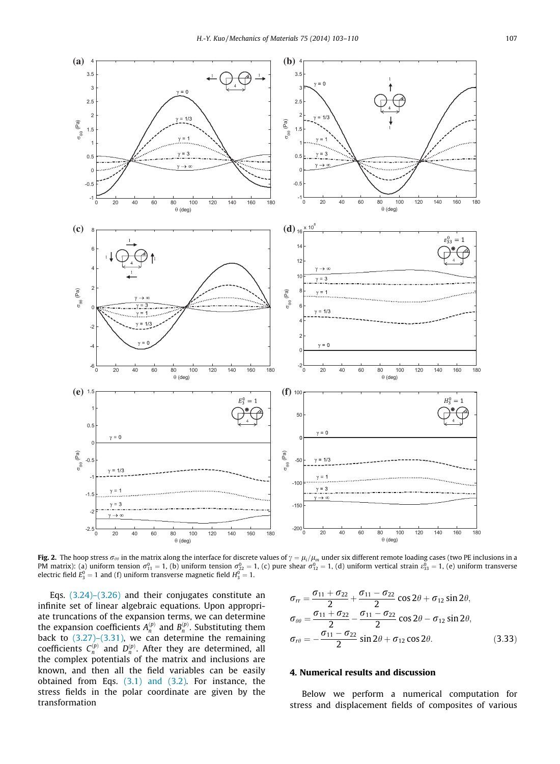<span id="page-4-0"></span>

**Fig. 2.** The hoop stress  $\sigma_{\theta\theta}$  in the matrix along the interface for discrete values of  $\gamma=\mu_i/\mu_m$  under six different remote loading cases (two PE inclusions in a PM matrix): (a) uniform tension  $\sigma_{11}^0=1$ , (b) uniform tension  $\sigma_{22}^0=1$ , (c) pure shear  $\sigma_{12}^0=1$ , (d) uniform vertical strain  $c_{33}^0=1$ , (e) uniform transverse electric field  $E_3^0=1$  and (f) uniform transverse magnetic field  $H_3^0=1.$ 

Eqs. [\(3.24\)–\(3.26\)](#page-3-0) and their conjugates constitute an infinite set of linear algebraic equations. Upon appropriate truncations of the expansion terms, we can determine the expansion coefficients  $A_n^{(p)}$  and  $B_n^{(p)}$ . Substituting them back to  $(3.27)-(3.31)$ , we can determine the remaining coefficients  $C_n^{(p)}$  and  $D_n^{(p)}$ . After they are determined, all the complex potentials of the matrix and inclusions are known, and then all the field variables can be easily obtained from Eqs. [\(3.1\) and \(3.2\)](#page-2-0). For instance, the stress fields in the polar coordinate are given by the transformation

$$
\sigma_{rr} = \frac{\sigma_{11} + \sigma_{22}}{2} + \frac{\sigma_{11} - \sigma_{22}}{2} \cos 2\theta + \sigma_{12} \sin 2\theta,
$$
  
\n
$$
\sigma_{\theta\theta} = \frac{\sigma_{11} + \sigma_{22}}{2} - \frac{\sigma_{11} - \sigma_{22}}{2} \cos 2\theta - \sigma_{12} \sin 2\theta,
$$
  
\n
$$
\sigma_{r\theta} = -\frac{\sigma_{11} - \sigma_{22}}{2} \sin 2\theta + \sigma_{12} \cos 2\theta.
$$
 (3.33)

### 4. Numerical results and discussion

Below we perform a numerical computation for stress and displacement fields of composites of various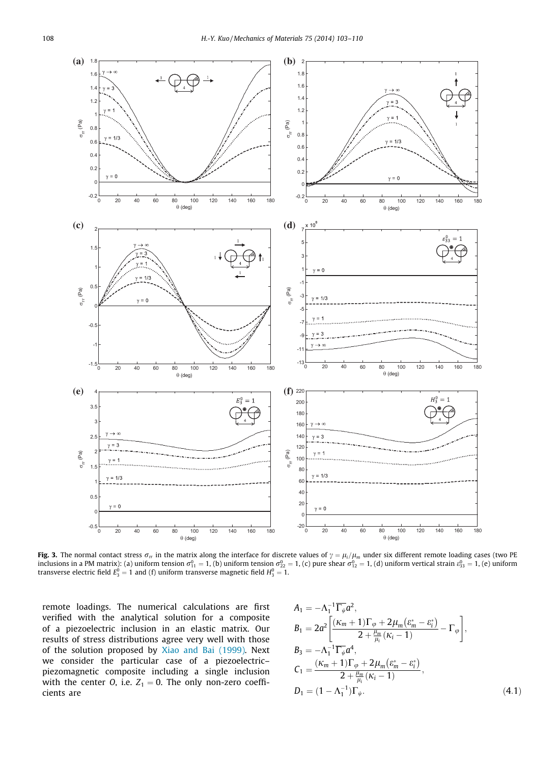<span id="page-5-0"></span>

**Fig. 3.** The normal contact stress  $\sigma_{rr}$  in the matrix along the interface for discrete values of  $\gamma = \mu_i/\mu_m$  under six different remote loading cases (two PE inclusions in a PM matrix): (a) uniform tension  $\sigma_{11}^0 =$ transverse electric field  $E_3^0=1$  and (f) uniform transverse magnetic field  $H_3^0=1.$ 

remote loadings. The numerical calculations are first verified with the analytical solution for a composite of a piezoelectric inclusion in an elastic matrix. Our results of stress distributions agree very well with those of the solution proposed by [Xiao and Bai \(1999\)](#page-7-0). Next we consider the particular case of a piezoelectric– piezomagnetic composite including a single inclusion with the center O, i.e.  $Z_1 = 0$ . The only non-zero coefficients are

$$
A_{1} = -\Lambda_{1}^{-1} \overline{\Gamma_{\psi}} a^{2},
$$
\n
$$
B_{1} = 2a^{2} \left[ \frac{(\kappa_{m} + 1)\Gamma_{\varphi} + 2\mu_{m}(\varepsilon_{m}^{*} - \varepsilon_{i}^{*})}{2 + \frac{\mu_{m}}{\mu_{i}}(\kappa_{i} - 1)} - \Gamma_{\varphi} \right],
$$
\n
$$
B_{3} = -\Lambda_{1}^{-1} \overline{\Gamma_{\psi}} a^{4},
$$
\n
$$
C_{1} = \frac{(\kappa_{m} + 1)\Gamma_{\varphi} + 2\mu_{m}(\varepsilon_{m}^{*} - \varepsilon_{i}^{*})}{2 + \frac{\mu_{m}}{\mu_{i}}(\kappa_{i} - 1)},
$$
\n
$$
D_{1} = (1 - \Lambda_{1}^{-1})\Gamma_{\psi}.
$$
\n(4.1)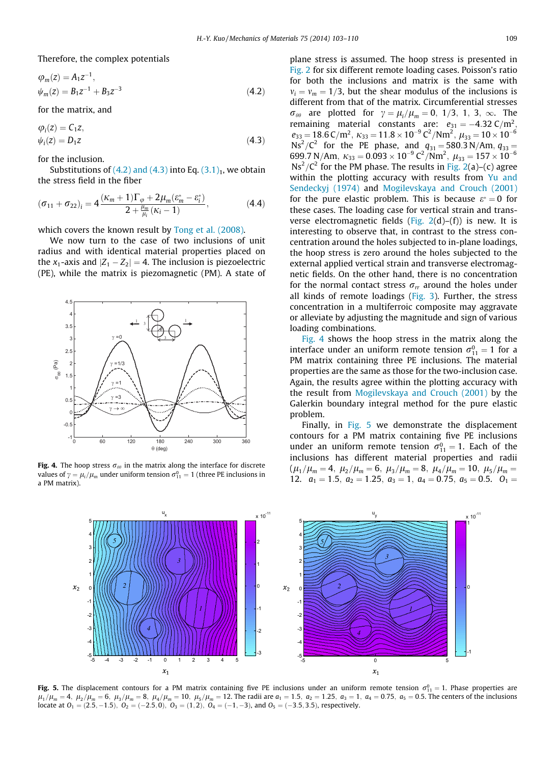Therefore, the complex potentials

$$
\varphi_m(z) = A_1 z^{-1}, \n\psi_m(z) = B_1 z^{-1} + B_3 z^{-3}
$$
\n(4.2)

for the matrix, and

$$
\varphi_i(z) = C_1 z,
$$
  
\n
$$
\psi_i(z) = D_1 z
$$
\n(4.3)

for the inclusion.

Substitutions of  $(4.2)$  and  $(4.3)$  into Eq.  $(3.1)<sub>1</sub>$  $(3.1)<sub>1</sub>$ , we obtain the stress field in the fiber

$$
(\sigma_{11} + \sigma_{22})_i = 4 \frac{(\kappa_m + 1)\Gamma_\varphi + 2\mu_m(\varepsilon_m^* - \varepsilon_i^*)}{2 + \frac{\mu_m}{\mu_i}(\kappa_i - 1)},
$$
(4.4)

which covers the known result by [Tong et al. \(2008\).](#page-7-0)

We now turn to the case of two inclusions of unit radius and with identical material properties placed on the  $x_1$ -axis and  $|Z_1 - Z_2| = 4$ . The inclusion is piezoelectric (PE), while the matrix is piezomagnetic (PM). A state of



Fig. 4. The hoop stress  $\sigma_{\theta\theta}$  in the matrix along the interface for discrete values of  $\gamma = \mu_i / \mu_m$  under uniform tension  $\sigma_{11}^0 = 1$  (three PE inclusions in a PM matrix).

plane stress is assumed. The hoop stress is presented in [Fig. 2](#page-4-0) for six different remote loading cases. Poisson's ratio for both the inclusions and matrix is the same with  $v_i = v_m = 1/3$ , but the shear modulus of the inclusions is different from that of the matrix. Circumferential stresses  $\sigma_{\theta\theta}$  are plotted for  $\gamma = \mu_i / \mu_m = 0, 1/3, 1, 3, \infty$ . The remaining material constants are:  $e_{31} = -4.32 \text{ C/m}^2$ ,  $e_{33} = 18.6 \text{ C/m}^2$ ,  $\kappa_{33} = 11.8 \times 10^{-9} \text{ C}^2/\text{Nm}^2$ ,  $\mu_{33} = 10 \times 10^{-6}$  $\text{Ns}^2/\text{C}^2$  for the PE phase, and  $q_{31} = 580.3 \text{ N/Am}$ ,  $q_{33} =$ 699.7 N/Am,  $\kappa_{33} = 0.093 \times 10^{-9} \text{ C}^2/\text{Nm}^2$ ,  $\mu_{33} = 157 \times 10^{-6}$  $\text{Ns}^2/\text{C}^2$  for the PM phase. The results in [Fig. 2](#page-4-0)(a)–(c) agree within the plotting accuracy with results from [Yu and](#page-7-0) [Sendeckyj \(1974\)](#page-7-0) and [Mogilevskaya and Crouch \(2001\)](#page-7-0) for the pure elastic problem. This is because  $\varepsilon^* = 0$  for these cases. The loading case for vertical strain and transverse electromagnetic fields (Fig.  $2(d)$ –(f)) is new. It is interesting to observe that, in contrast to the stress concentration around the holes subjected to in-plane loadings, the hoop stress is zero around the holes subjected to the external applied vertical strain and transverse electromagnetic fields. On the other hand, there is no concentration for the normal contact stress  $\sigma_r$  around the holes under all kinds of remote loadings ([Fig. 3](#page-5-0)). Further, the stress concentration in a multiferroic composite may aggravate or alleviate by adjusting the magnitude and sign of various loading combinations.

Fig. 4 shows the hoop stress in the matrix along the interface under an uniform remote tension  $\sigma_{11}^0 = 1$  for a PM matrix containing three PE inclusions. The material properties are the same as those for the two-inclusion case. Again, the results agree within the plotting accuracy with the result from [Mogilevskaya and Crouch \(2001\)](#page-7-0) by the Galerkin boundary integral method for the pure elastic problem.

Finally, in Fig. 5 we demonstrate the displacement contours for a PM matrix containing five PE inclusions under an uniform remote tension  $\sigma_{11}^0 = 1$ . Each of the inclusions has different material properties and radii  $(\mu_1/\mu_m = 4, \ \mu_2/\mu_m = 6, \ \mu_3/\mu_m = 8, \ \mu_4/\mu_m = 10, \ \mu_5/\mu_m =$ 12.  $a_1 = 1.5$ ,  $a_2 = 1.25$ ,  $a_3 = 1$ ,  $a_4 = 0.75$ ,  $a_5 = 0.5$ .  $a_1 =$ 



**Fig. 5.** The displacement contours for a PM matrix containing five PE inclusions under an uniform remote tension  $\sigma_{11}^0=1$ . Phase properties are  $\mu_1/\mu_m = 4$ ,  $\mu_2/\mu_m = 6$ ,  $\mu_3/\mu_m = 8$ ,  $\mu_4/\mu_m = 10$ ,  $\mu_5/\mu_m = 12$ . The radii are  $a_1 = 1.5$ ,  $a_2 = 1.25$ ,  $a_3 = 1$ ,  $a_4 = 0.75$ ,  $a_5 = 0.5$ . The centers of the inclusions locate at  $O_1 = (2.5, -1.5), O_2 = (-2.5, 0), O_3 = (1, 2), O_4 = (-1, -3),$  and  $O_5 = (-3.5, 3.5),$  respectively.